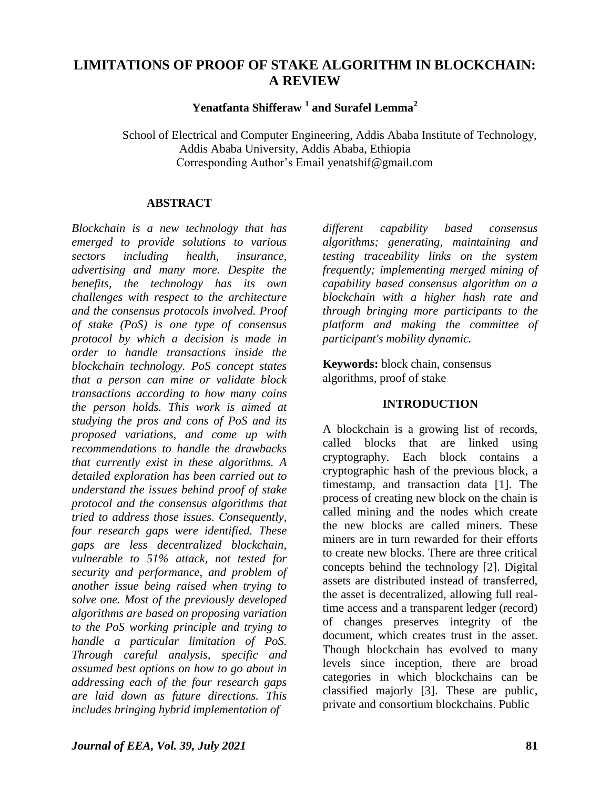# **LIMITATIONS OF PROOF OF STAKE ALGORITHM IN BLOCKCHAIN: A REVIEW**

**Yenatfanta Shifferaw <sup>1</sup> and Surafel Lemma<sup>2</sup>**

 School of Electrical and Computer Engineering, Addis Ababa Institute of Technology, Addis Ababa University, Addis Ababa, Ethiopia Corresponding Author's Email yenatshif@gmail.com

#### **ABSTRACT**

*Blockchain is a new technology that has emerged to provide solutions to various sectors including health, insurance, advertising and many more. Despite the benefits, the technology has its own challenges with respect to the architecture and the consensus protocols involved. Proof of stake (PoS) is one type of consensus protocol by which a decision is made in order to handle transactions inside the blockchain technology. PoS concept states that a person can mine or validate block transactions according to how many coins the person holds. This work is aimed at studying the pros and cons of PoS and its proposed variations, and come up with recommendations to handle the drawbacks that currently exist in these algorithms. A detailed exploration has been carried out to understand the issues behind proof of stake protocol and the consensus algorithms that tried to address those issues. Consequently, four research gaps were identified. These gaps are less decentralized blockchain, vulnerable to 51% attack, not tested for security and performance, and problem of another issue being raised when trying to solve one. Most of the previously developed algorithms are based on proposing variation to the PoS working principle and trying to handle a particular limitation of PoS. Through careful analysis, specific and assumed best options on how to go about in addressing each of the four research gaps are laid down as future directions. This includes bringing hybrid implementation of* 

*different capability based consensus algorithms; generating, maintaining and testing traceability links on the system frequently; implementing merged mining of capability based consensus algorithm on a blockchain with a higher hash rate and through bringing more participants to the platform and making the committee of participant's mobility dynamic.*

**Keywords:** block chain, consensus algorithms, proof of stake

#### **INTRODUCTION**

A blockchain is a growing list of records, called blocks that are linked using cryptography. Each block contains a cryptographic hash of the previous block, a timestamp, and transaction data [1]. The process of creating new block on the chain is called mining and the nodes which create the new blocks are called miners. These miners are in turn rewarded for their efforts to create new blocks. There are three critical concepts behind the technology [2]. Digital assets are distributed instead of transferred, the asset is decentralized, allowing full realtime access and a transparent ledger (record) of changes preserves integrity of the document, which creates trust in the asset. Though blockchain has evolved to many levels since inception, there are broad categories in which blockchains can be classified majorly [3]. These are public, private and consortium blockchains. Public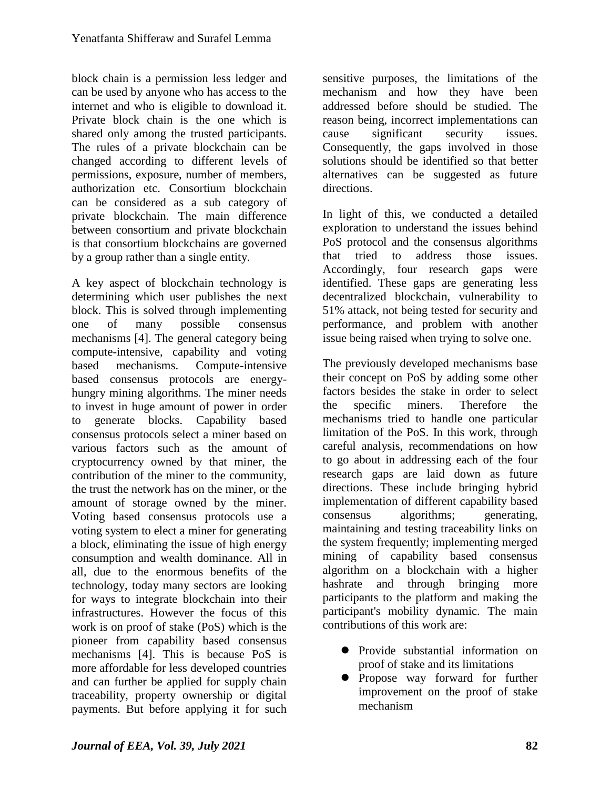block chain is a permission less ledger and can be used by anyone who has access to the internet and who is eligible to download it. Private block chain is the one which is shared only among the trusted participants. The rules of a private blockchain can be changed according to different levels of permissions, exposure, number of members, authorization etc. Consortium blockchain can be considered as a sub category of private blockchain. The main difference between consortium and private blockchain is that consortium blockchains are governed by a group rather than a single entity.

A key aspect of blockchain technology is determining which user publishes the next block. This is solved through implementing one of many possible consensus mechanisms [4]. The general category being compute-intensive, capability and voting based mechanisms. Compute-intensive based consensus protocols are energyhungry mining algorithms. The miner needs to invest in huge amount of power in order to generate blocks. Capability based consensus protocols select a miner based on various factors such as the amount of cryptocurrency owned by that miner, the contribution of the miner to the community, the trust the network has on the miner, or the amount of storage owned by the miner. Voting based consensus protocols use a voting system to elect a miner for generating a block, eliminating the issue of high energy consumption and wealth dominance. All in all, due to the enormous benefits of the technology, today many sectors are looking for ways to integrate blockchain into their infrastructures. However the focus of this work is on proof of stake (PoS) which is the pioneer from capability based consensus mechanisms [4]. This is because PoS is more affordable for less developed countries and can further be applied for supply chain traceability, property ownership or digital payments. But before applying it for such

sensitive purposes, the limitations of the mechanism and how they have been addressed before should be studied. The reason being, incorrect implementations can cause significant security issues. Consequently, the gaps involved in those solutions should be identified so that better alternatives can be suggested as future directions.

In light of this, we conducted a detailed exploration to understand the issues behind PoS protocol and the consensus algorithms that tried to address those issues. Accordingly, four research gaps were identified. These gaps are generating less decentralized blockchain, vulnerability to 51% attack, not being tested for security and performance, and problem with another issue being raised when trying to solve one.

The previously developed mechanisms base their concept on PoS by adding some other factors besides the stake in order to select the specific miners. Therefore the mechanisms tried to handle one particular limitation of the PoS. In this work, through careful analysis, recommendations on how to go about in addressing each of the four research gaps are laid down as future directions. These include bringing hybrid implementation of different capability based consensus algorithms; generating, maintaining and testing traceability links on the system frequently; implementing merged mining of capability based consensus algorithm on a blockchain with a higher hashrate and through bringing more participants to the platform and making the participant's mobility dynamic. The main contributions of this work are:

- Provide substantial information on proof of stake and its limitations
- Propose way forward for further improvement on the proof of stake mechanism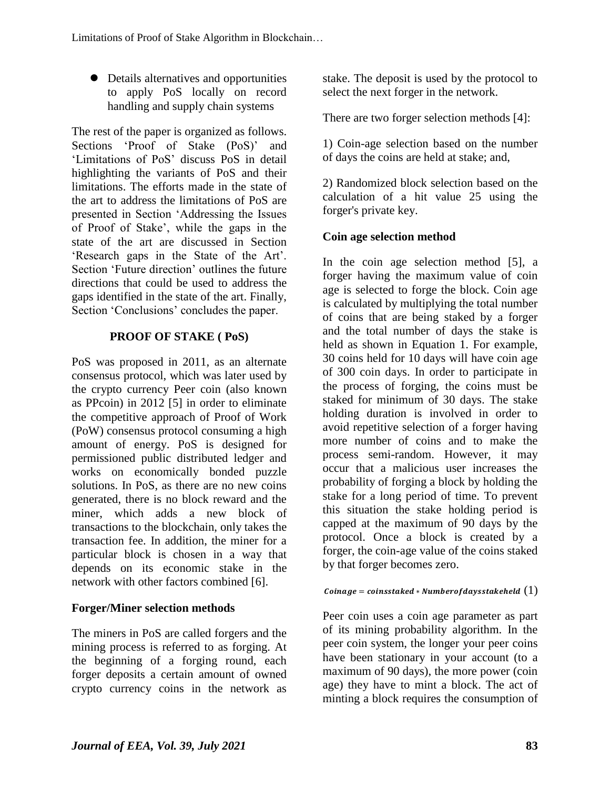Details alternatives and opportunities to apply PoS locally on record handling and supply chain systems

The rest of the paper is organized as follows. Sections 'Proof of Stake (PoS)' and 'Limitations of PoS' discuss PoS in detail highlighting the variants of PoS and their limitations. The efforts made in the state of the art to address the limitations of PoS are presented in Section 'Addressing the Issues of Proof of Stake', while the gaps in the state of the art are discussed in Section 'Research gaps in the State of the Art'. Section 'Future direction' outlines the future directions that could be used to address the gaps identified in the state of the art. Finally, Section 'Conclusions' concludes the paper.

## **PROOF OF STAKE ( PoS)**

PoS was proposed in 2011, as an alternate consensus protocol, which was later used by the crypto currency Peer coin (also known as PPcoin) in 2012 [5] in order to eliminate the competitive approach of Proof of Work (PoW) consensus protocol consuming a high amount of energy. PoS is designed for permissioned public distributed ledger and works on economically bonded puzzle solutions. In PoS, as there are no new coins generated, there is no block reward and the miner, which adds a new block of transactions to the blockchain, only takes the transaction fee. In addition, the miner for a particular block is chosen in a way that depends on its economic stake in the network with other factors combined [6].

# **Forger/Miner selection methods**

The miners in PoS are called forgers and the mining process is referred to as forging. At the beginning of a forging round, each forger deposits a certain amount of owned crypto currency coins in the network as

stake. The deposit is used by the protocol to select the next forger in the network.

There are two forger selection methods [4]:

1) Coin-age selection based on the number of days the coins are held at stake; and,

2) Randomized block selection based on the calculation of a hit value 25 using the forger's private key.

# **Coin age selection method**

In the coin age selection method [5], a forger having the maximum value of coin age is selected to forge the block. Coin age is calculated by multiplying the total number of coins that are being staked by a forger and the total number of days the stake is held as shown in Equation 1. For example, 30 coins held for 10 days will have coin age of 300 coin days. In order to participate in the process of forging, the coins must be staked for minimum of 30 days. The stake holding duration is involved in order to avoid repetitive selection of a forger having more number of coins and to make the process semi-random. However, it may occur that a malicious user increases the probability of forging a block by holding the stake for a long period of time. To prevent this situation the stake holding period is capped at the maximum of 90 days by the protocol. Once a block is created by a forger, the coin-age value of the coins staked by that forger becomes zero.

#### Coinage = coinsstaked \* Number of days stake held  $(1)$

Peer coin uses a coin age parameter as part of its mining probability algorithm. In the peer coin system, the longer your peer coins have been stationary in your account (to a maximum of 90 days), the more power (coin age) they have to mint a block. The act of minting a block requires the consumption of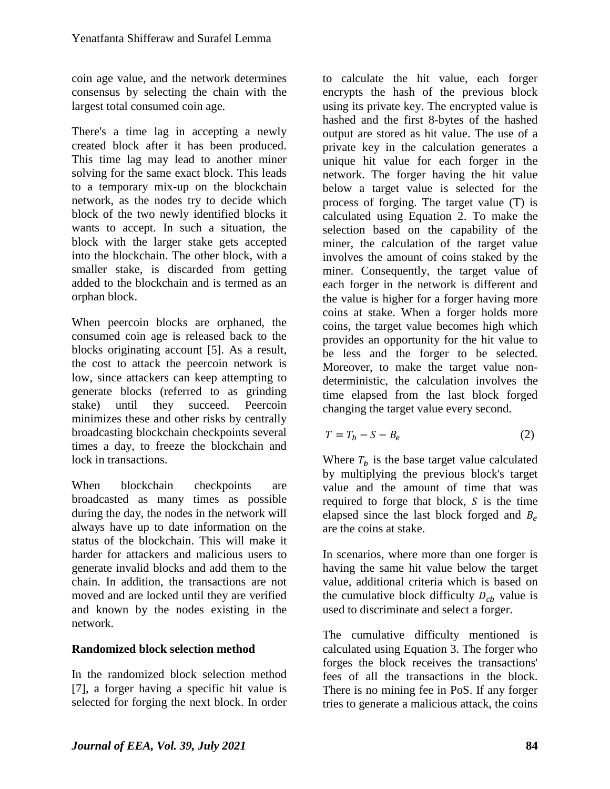coin age value, and the network determines consensus by selecting the chain with the largest total consumed coin age.

There's a time lag in accepting a newly created block after it has been produced. This time lag may lead to another miner solving for the same exact block. This leads to a temporary mix-up on the blockchain network, as the nodes try to decide which block of the two newly identified blocks it wants to accept. In such a situation, the block with the larger stake gets accepted into the blockchain. The other block, with a smaller stake, is discarded from getting added to the blockchain and is termed as an orphan block.

When peercoin blocks are orphaned, the consumed coin age is released back to the blocks originating account [5]. As a result, the cost to attack the peercoin network is low, since attackers can keep attempting to generate blocks (referred to as grinding stake) until they succeed. Peercoin minimizes these and other risks by centrally broadcasting blockchain checkpoints several times a day, to freeze the blockchain and lock in transactions.

When blockchain checkpoints are broadcasted as many times as possible during the day, the nodes in the network will always have up to date information on the status of the blockchain. This will make it harder for attackers and malicious users to generate invalid blocks and add them to the chain. In addition, the transactions are not moved and are locked until they are verified and known by the nodes existing in the network.

# **Randomized block selection method**

In the randomized block selection method [7], a forger having a specific hit value is selected for forging the next block. In order to calculate the hit value, each forger encrypts the hash of the previous block using its private key. The encrypted value is hashed and the first 8-bytes of the hashed output are stored as hit value. The use of a private key in the calculation generates a unique hit value for each forger in the network. The forger having the hit value below a target value is selected for the process of forging. The target value (T) is calculated using Equation 2. To make the selection based on the capability of the miner, the calculation of the target value involves the amount of coins staked by the miner. Consequently, the target value of each forger in the network is different and the value is higher for a forger having more coins at stake. When a forger holds more coins, the target value becomes high which provides an opportunity for the hit value to be less and the forger to be selected. Moreover, to make the target value nondeterministic, the calculation involves the time elapsed from the last block forged changing the target value every second.

$$
T = T_b - S - B_e \tag{2}
$$

Where  $T_h$  is the base target value calculated by multiplying the previous block's target value and the amount of time that was required to forge that block,  $S$  is the time elapsed since the last block forged and  $B_e$ are the coins at stake.

In scenarios, where more than one forger is having the same hit value below the target value, additional criteria which is based on the cumulative block difficulty  $D_{cb}$  value is used to discriminate and select a forger.

The cumulative difficulty mentioned is calculated using Equation 3. The forger who forges the block receives the transactions' fees of all the transactions in the block. There is no mining fee in PoS. If any forger tries to generate a malicious attack, the coins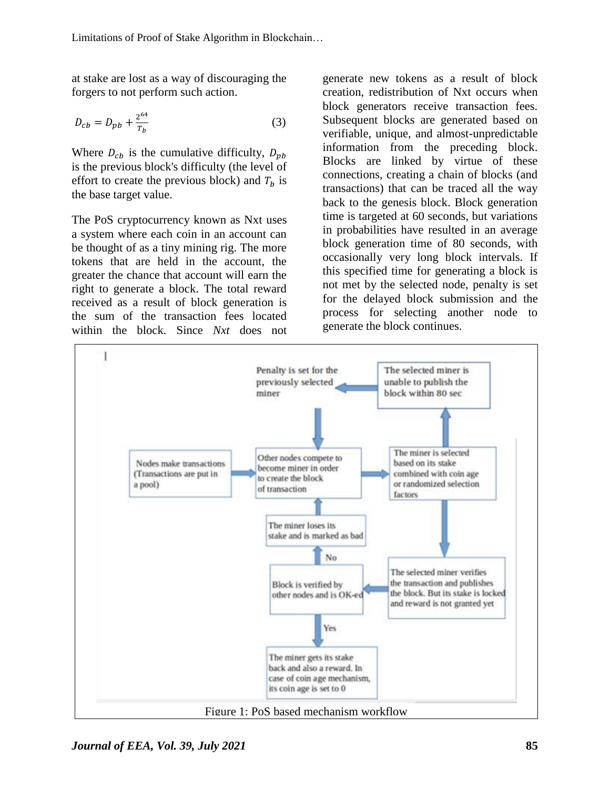at stake are lost as a way of discouraging the forgers to not perform such action.

$$
D_{cb} = D_{pb} + \frac{2^{64}}{T_b} \tag{3}
$$

Where  $D_{cb}$  is the cumulative difficulty,  $D_{pb}$ is the previous block's difficulty (the level of effort to create the previous block) and  $T<sub>b</sub>$  is the base target value.

The PoS cryptocurrency known as Nxt uses a system where each coin in an account can be thought of as a tiny mining rig. The more tokens that are held in the account, the greater the chance that account will earn the right to generate a block. The total reward received as a result of block generation is the sum of the transaction fees located within the block. Since *Nxt* does not generate new tokens as a result of block creation, redistribution of Nxt occurs when block generators receive transaction fees. Subsequent blocks are generated based on verifiable, unique, and almost-unpredictable information from the preceding block. Blocks are linked by virtue of these connections, creating a chain of blocks (and transactions) that can be traced all the way back to the genesis block. Block generation time is targeted at 60 seconds, but variations in probabilities have resulted in an average block generation time of 80 seconds, with occasionally very long block intervals. If this specified time for generating a block is not met by the selected node, penalty is set for the delayed block submission and the process for selecting another node to generate the block continues.

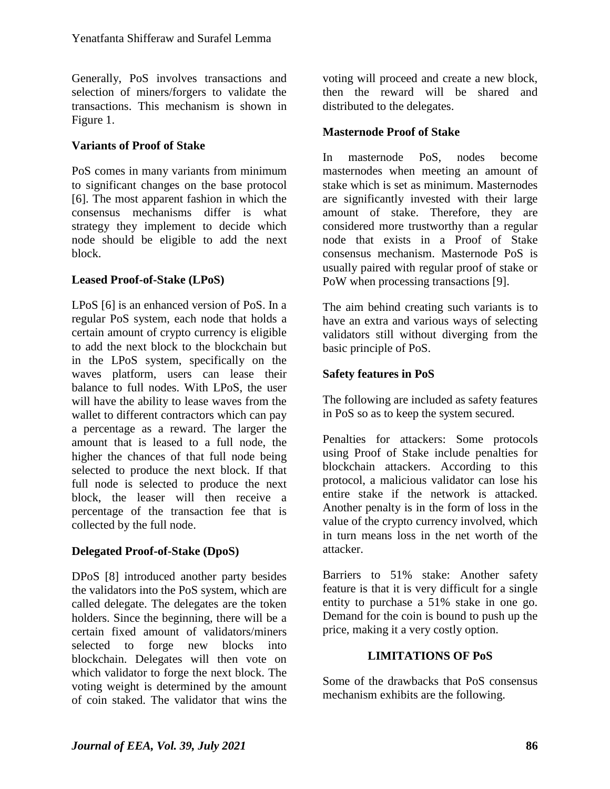Generally, PoS involves transactions and selection of miners/forgers to validate the transactions. This mechanism is shown in Figure 1.

#### **Variants of Proof of Stake**

PoS comes in many variants from minimum to significant changes on the base protocol [6]. The most apparent fashion in which the consensus mechanisms differ is what strategy they implement to decide which node should be eligible to add the next block.

#### **Leased Proof-of-Stake (LPoS)**

LPoS [6] is an enhanced version of PoS. In a regular PoS system, each node that holds a certain amount of crypto currency is eligible to add the next block to the blockchain but in the LPoS system, specifically on the waves platform, users can lease their balance to full nodes. With LPoS, the user will have the ability to lease waves from the wallet to different contractors which can pay a percentage as a reward. The larger the amount that is leased to a full node, the higher the chances of that full node being selected to produce the next block. If that full node is selected to produce the next block, the leaser will then receive a percentage of the transaction fee that is collected by the full node.

#### **Delegated Proof-of-Stake (DpoS)**

DPoS [8] introduced another party besides the validators into the PoS system, which are called delegate. The delegates are the token holders. Since the beginning, there will be a certain fixed amount of validators/miners selected to forge new blocks into blockchain. Delegates will then vote on which validator to forge the next block. The voting weight is determined by the amount of coin staked. The validator that wins the

voting will proceed and create a new block, then the reward will be shared and distributed to the delegates.

### **Masternode Proof of Stake**

In masternode PoS, nodes become masternodes when meeting an amount of stake which is set as minimum. Masternodes are significantly invested with their large amount of stake. Therefore, they are considered more trustworthy than a regular node that exists in a Proof of Stake consensus mechanism. Masternode PoS is usually paired with regular proof of stake or PoW when processing transactions [9].

The aim behind creating such variants is to have an extra and various ways of selecting validators still without diverging from the basic principle of PoS.

## **Safety features in PoS**

The following are included as safety features in PoS so as to keep the system secured.

Penalties for attackers: Some protocols using Proof of Stake include penalties for blockchain attackers. According to this protocol, a malicious validator can lose his entire stake if the network is attacked. Another penalty is in the form of loss in the value of the crypto currency involved, which in turn means loss in the net worth of the attacker.

Barriers to 51% stake: Another safety feature is that it is very difficult for a single entity to purchase a 51% stake in one go. Demand for the coin is bound to push up the price, making it a very costly option.

#### **LIMITATIONS OF PoS**

Some of the drawbacks that PoS consensus mechanism exhibits are the following.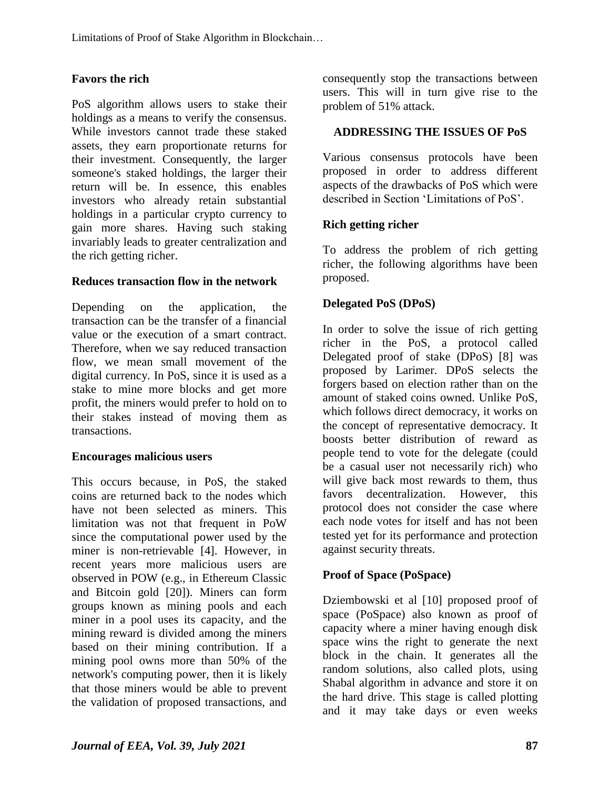### **Favors the rich**

PoS algorithm allows users to stake their holdings as a means to verify the consensus. While investors cannot trade these staked assets, they earn proportionate returns for their investment. Consequently, the larger someone's staked holdings, the larger their return will be. In essence, this enables investors who already retain substantial holdings in a particular crypto currency to gain more shares. Having such staking invariably leads to greater centralization and the rich getting richer.

#### **Reduces transaction flow in the network**

Depending on the application, the transaction can be the transfer of a financial value or the execution of a smart contract. Therefore, when we say reduced transaction flow, we mean small movement of the digital currency. In PoS, since it is used as a stake to mine more blocks and get more profit, the miners would prefer to hold on to their stakes instead of moving them as transactions.

#### **Encourages malicious users**

This occurs because, in PoS, the staked coins are returned back to the nodes which have not been selected as miners. This limitation was not that frequent in PoW since the computational power used by the miner is non-retrievable [4]. However, in recent years more malicious users are observed in POW (e.g., in Ethereum Classic and Bitcoin gold [20]). Miners can form groups known as mining pools and each miner in a pool uses its capacity, and the mining reward is divided among the miners based on their mining contribution. If a mining pool owns more than 50% of the network's computing power, then it is likely that those miners would be able to prevent the validation of proposed transactions, and consequently stop the transactions between users. This will in turn give rise to the problem of 51% attack.

#### **ADDRESSING THE ISSUES OF PoS**

Various consensus protocols have been proposed in order to address different aspects of the drawbacks of PoS which were described in Section 'Limitations of PoS'.

#### **Rich getting richer**

To address the problem of rich getting richer, the following algorithms have been proposed.

#### **Delegated PoS (DPoS)**

In order to solve the issue of rich getting richer in the PoS, a protocol called Delegated proof of stake (DPoS) [8] was proposed by Larimer. DPoS selects the forgers based on election rather than on the amount of staked coins owned. Unlike PoS, which follows direct democracy, it works on the concept of representative democracy. It boosts better distribution of reward as people tend to vote for the delegate (could be a casual user not necessarily rich) who will give back most rewards to them, thus favors decentralization. However, this protocol does not consider the case where each node votes for itself and has not been tested yet for its performance and protection against security threats.

# **Proof of Space (PoSpace)**

Dziembowski et al [10] proposed proof of space (PoSpace) also known as proof of capacity where a miner having enough disk space wins the right to generate the next block in the chain. It generates all the random solutions, also called plots, using Shabal algorithm in advance and store it on the hard drive. This stage is called plotting and it may take days or even weeks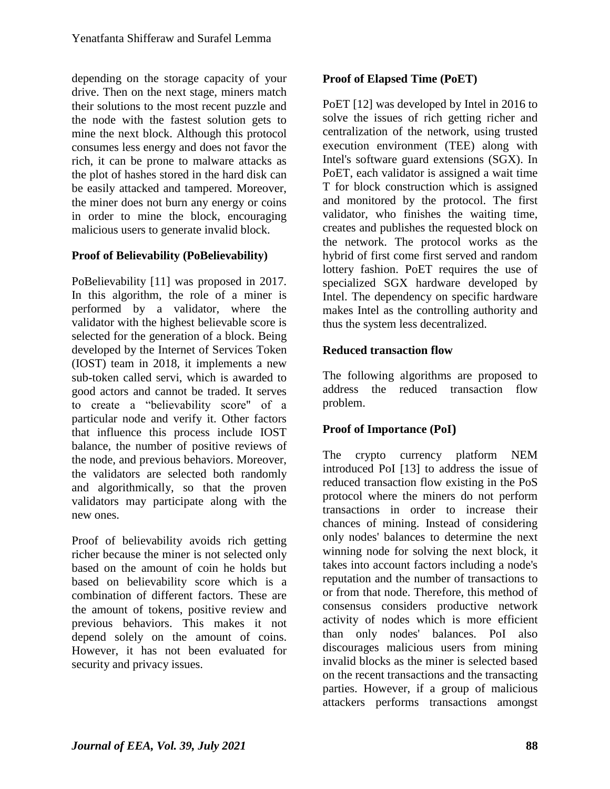depending on the storage capacity of your drive. Then on the next stage, miners match their solutions to the most recent puzzle and the node with the fastest solution gets to mine the next block. Although this protocol consumes less energy and does not favor the rich, it can be prone to malware attacks as the plot of hashes stored in the hard disk can be easily attacked and tampered. Moreover, the miner does not burn any energy or coins in order to mine the block, encouraging malicious users to generate invalid block.

#### **Proof of Believability (PoBelievability)**

PoBelievability [11] was proposed in 2017. In this algorithm, the role of a miner is performed by a validator, where the validator with the highest believable score is selected for the generation of a block. Being developed by the Internet of Services Token (IOST) team in 2018, it implements a new sub-token called servi, which is awarded to good actors and cannot be traded. It serves to create a "believability score" of a particular node and verify it. Other factors that influence this process include IOST balance, the number of positive reviews of the node, and previous behaviors. Moreover, the validators are selected both randomly and algorithmically, so that the proven validators may participate along with the new ones.

Proof of believability avoids rich getting richer because the miner is not selected only based on the amount of coin he holds but based on believability score which is a combination of different factors. These are the amount of tokens, positive review and previous behaviors. This makes it not depend solely on the amount of coins. However, it has not been evaluated for security and privacy issues.

#### **Proof of Elapsed Time (PoET)**

PoET [12] was developed by Intel in 2016 to solve the issues of rich getting richer and centralization of the network, using trusted execution environment (TEE) along with Intel's software guard extensions (SGX). In PoET, each validator is assigned a wait time T for block construction which is assigned and monitored by the protocol. The first validator, who finishes the waiting time, creates and publishes the requested block on the network. The protocol works as the hybrid of first come first served and random lottery fashion. PoET requires the use of specialized SGX hardware developed by Intel. The dependency on specific hardware makes Intel as the controlling authority and thus the system less decentralized.

#### **Reduced transaction flow**

The following algorithms are proposed to address the reduced transaction flow problem.

#### **Proof of Importance (PoI)**

The crypto currency platform NEM introduced PoI [13] to address the issue of reduced transaction flow existing in the PoS protocol where the miners do not perform transactions in order to increase their chances of mining. Instead of considering only nodes' balances to determine the next winning node for solving the next block, it takes into account factors including a node's reputation and the number of transactions to or from that node. Therefore, this method of consensus considers productive network activity of nodes which is more efficient than only nodes' balances. PoI also discourages malicious users from mining invalid blocks as the miner is selected based on the recent transactions and the transacting parties. However, if a group of malicious attackers performs transactions amongst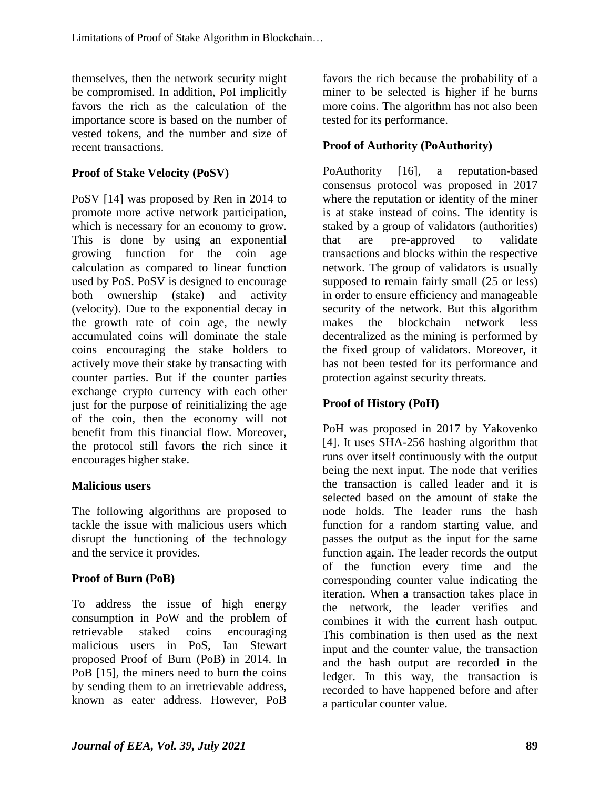themselves, then the network security might be compromised. In addition, PoI implicitly favors the rich as the calculation of the importance score is based on the number of vested tokens, and the number and size of recent transactions.

#### **Proof of Stake Velocity (PoSV)**

PoSV [14] was proposed by Ren in 2014 to promote more active network participation, which is necessary for an economy to grow. This is done by using an exponential growing function for the coin age calculation as compared to linear function used by PoS. PoSV is designed to encourage both ownership (stake) and activity (velocity). Due to the exponential decay in the growth rate of coin age, the newly accumulated coins will dominate the stale coins encouraging the stake holders to actively move their stake by transacting with counter parties. But if the counter parties exchange crypto currency with each other just for the purpose of reinitializing the age of the coin, then the economy will not benefit from this financial flow. Moreover, the protocol still favors the rich since it encourages higher stake.

#### **Malicious users**

The following algorithms are proposed to tackle the issue with malicious users which disrupt the functioning of the technology and the service it provides.

#### **Proof of Burn (PoB)**

To address the issue of high energy consumption in PoW and the problem of retrievable staked coins encouraging malicious users in PoS, Ian Stewart proposed Proof of Burn (PoB) in 2014. In PoB [15], the miners need to burn the coins by sending them to an irretrievable address, known as eater address. However, PoB

favors the rich because the probability of a miner to be selected is higher if he burns more coins. The algorithm has not also been tested for its performance.

#### **Proof of Authority (PoAuthority)**

PoAuthority [16], a reputation-based consensus protocol was proposed in 2017 where the reputation or identity of the miner is at stake instead of coins. The identity is staked by a group of validators (authorities) that are pre-approved to validate transactions and blocks within the respective network. The group of validators is usually supposed to remain fairly small (25 or less) in order to ensure efficiency and manageable security of the network. But this algorithm makes the blockchain network less decentralized as the mining is performed by the fixed group of validators. Moreover, it has not been tested for its performance and protection against security threats.

#### **Proof of History (PoH)**

PoH was proposed in 2017 by Yakovenko [4]. It uses SHA-256 hashing algorithm that runs over itself continuously with the output being the next input. The node that verifies the transaction is called leader and it is selected based on the amount of stake the node holds. The leader runs the hash function for a random starting value, and passes the output as the input for the same function again. The leader records the output of the function every time and the corresponding counter value indicating the iteration. When a transaction takes place in the network, the leader verifies and combines it with the current hash output. This combination is then used as the next input and the counter value, the transaction and the hash output are recorded in the ledger. In this way, the transaction is recorded to have happened before and after a particular counter value.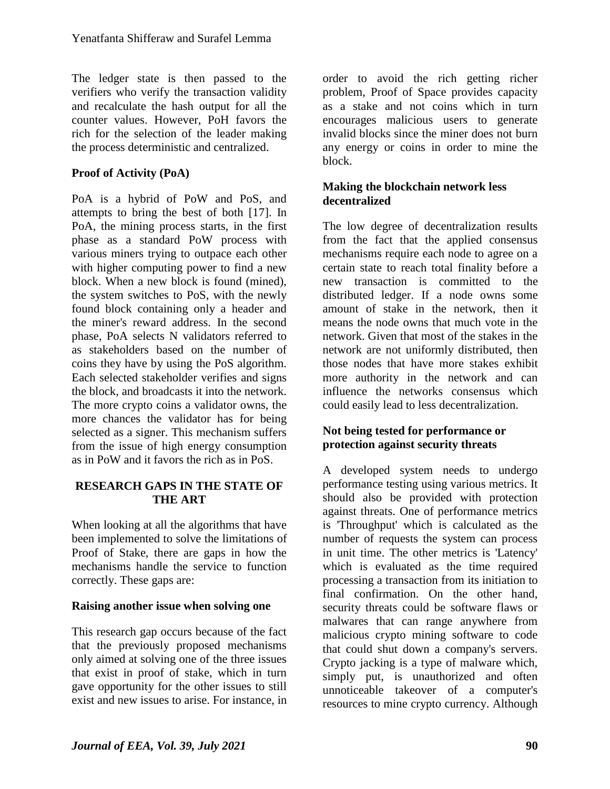The ledger state is then passed to the verifiers who verify the transaction validity and recalculate the hash output for all the counter values. However, PoH favors the rich for the selection of the leader making the process deterministic and centralized.

#### **Proof of Activity (PoA)**

PoA is a hybrid of PoW and PoS, and attempts to bring the best of both [17]. In PoA, the mining process starts, in the first phase as a standard PoW process with various miners trying to outpace each other with higher computing power to find a new block. When a new block is found (mined), the system switches to PoS, with the newly found block containing only a header and the miner's reward address. In the second phase, PoA selects N validators referred to as stakeholders based on the number of coins they have by using the PoS algorithm. Each selected stakeholder verifies and signs the block, and broadcasts it into the network. The more crypto coins a validator owns, the more chances the validator has for being selected as a signer. This mechanism suffers from the issue of high energy consumption as in PoW and it favors the rich as in PoS.

#### **RESEARCH GAPS IN THE STATE OF THE ART**

When looking at all the algorithms that have been implemented to solve the limitations of Proof of Stake, there are gaps in how the mechanisms handle the service to function correctly. These gaps are:

#### **Raising another issue when solving one**

This research gap occurs because of the fact that the previously proposed mechanisms only aimed at solving one of the three issues that exist in proof of stake, which in turn gave opportunity for the other issues to still exist and new issues to arise. For instance, in order to avoid the rich getting richer problem, Proof of Space provides capacity as a stake and not coins which in turn encourages malicious users to generate invalid blocks since the miner does not burn any energy or coins in order to mine the block.

#### **Making the blockchain network less decentralized**

The low degree of decentralization results from the fact that the applied consensus mechanisms require each node to agree on a certain state to reach total finality before a new transaction is committed to the distributed ledger. If a node owns some amount of stake in the network, then it means the node owns that much vote in the network. Given that most of the stakes in the network are not uniformly distributed, then those nodes that have more stakes exhibit more authority in the network and can influence the networks consensus which could easily lead to less decentralization.

#### **Not being tested for performance or protection against security threats**

A developed system needs to undergo performance testing using various metrics. It should also be provided with protection against threats. One of performance metrics is 'Throughput' which is calculated as the number of requests the system can process in unit time. The other metrics is 'Latency' which is evaluated as the time required processing a transaction from its initiation to final confirmation. On the other hand, security threats could be software flaws or malwares that can range anywhere from malicious crypto mining software to code that could shut down a company's servers. Crypto jacking is a type of malware which, simply put, is unauthorized and often unnoticeable takeover of a computer's resources to mine crypto currency. Although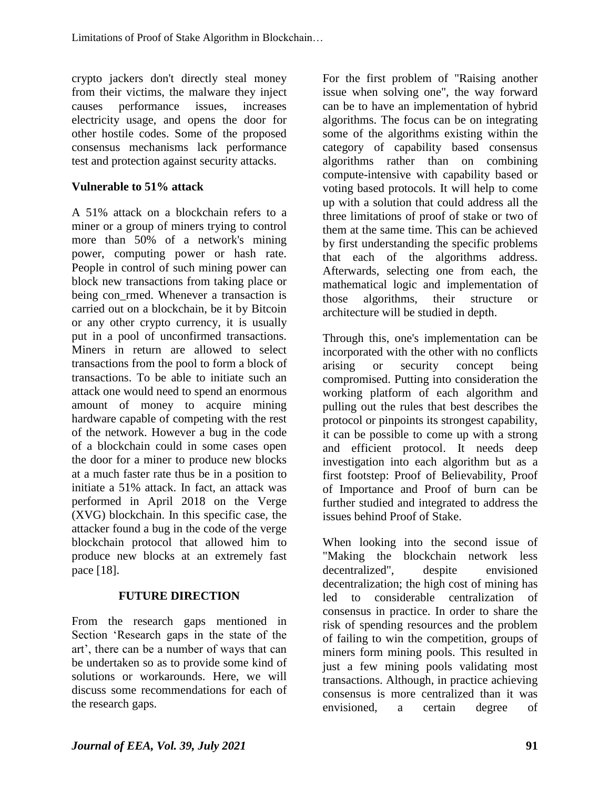crypto jackers don't directly steal money from their victims, the malware they inject causes performance issues, increases electricity usage, and opens the door for other hostile codes. Some of the proposed consensus mechanisms lack performance test and protection against security attacks.

## **Vulnerable to 51% attack**

A 51% attack on a blockchain refers to a miner or a group of miners trying to control more than 50% of a network's mining power, computing power or hash rate. People in control of such mining power can block new transactions from taking place or being con\_rmed. Whenever a transaction is carried out on a blockchain, be it by Bitcoin or any other crypto currency, it is usually put in a pool of unconfirmed transactions. Miners in return are allowed to select transactions from the pool to form a block of transactions. To be able to initiate such an attack one would need to spend an enormous amount of money to acquire mining hardware capable of competing with the rest of the network. However a bug in the code of a blockchain could in some cases open the door for a miner to produce new blocks at a much faster rate thus be in a position to initiate a 51% attack. In fact, an attack was performed in April 2018 on the Verge (XVG) blockchain. In this specific case, the attacker found a bug in the code of the verge blockchain protocol that allowed him to produce new blocks at an extremely fast pace [18].

# **FUTURE DIRECTION**

From the research gaps mentioned in Section 'Research gaps in the state of the art', there can be a number of ways that can be undertaken so as to provide some kind of solutions or workarounds. Here, we will discuss some recommendations for each of the research gaps.

For the first problem of "Raising another issue when solving one", the way forward can be to have an implementation of hybrid algorithms. The focus can be on integrating some of the algorithms existing within the category of capability based consensus algorithms rather than on combining compute-intensive with capability based or voting based protocols. It will help to come up with a solution that could address all the three limitations of proof of stake or two of them at the same time. This can be achieved by first understanding the specific problems that each of the algorithms address. Afterwards, selecting one from each, the mathematical logic and implementation of those algorithms, their structure or architecture will be studied in depth.

Through this, one's implementation can be incorporated with the other with no conflicts arising or security concept being compromised. Putting into consideration the working platform of each algorithm and pulling out the rules that best describes the protocol or pinpoints its strongest capability, it can be possible to come up with a strong and efficient protocol. It needs deep investigation into each algorithm but as a first footstep: Proof of Believability, Proof of Importance and Proof of burn can be further studied and integrated to address the issues behind Proof of Stake.

When looking into the second issue of "Making the blockchain network less decentralized", despite envisioned decentralization; the high cost of mining has led to considerable centralization of consensus in practice. In order to share the risk of spending resources and the problem of failing to win the competition, groups of miners form mining pools. This resulted in just a few mining pools validating most transactions. Although, in practice achieving consensus is more centralized than it was envisioned, a certain degree of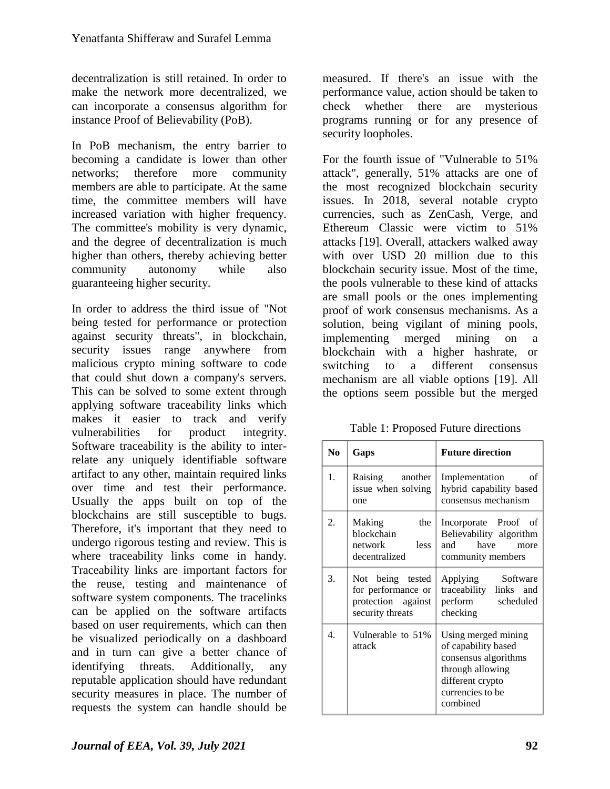decentralization is still retained. In order to make the network more decentralized, we can incorporate a consensus algorithm for instance Proof of Believability (PoB).

In PoB mechanism, the entry barrier to becoming a candidate is lower than other networks; therefore more community members are able to participate. At the same time, the committee members will have increased variation with higher frequency. The committee's mobility is very dynamic, and the degree of decentralization is much higher than others, thereby achieving better community autonomy while also guaranteeing higher security.

In order to address the third issue of "Not being tested for performance or protection against security threats", in blockchain, security issues range anywhere from malicious crypto mining software to code that could shut down a company's servers. This can be solved to some extent through applying software traceability links which makes it easier to track and verify vulnerabilities for product integrity. Software traceability is the ability to interrelate any uniquely identifiable software artifact to any other, maintain required links over time and test their performance. Usually the apps built on top of the blockchains are still susceptible to bugs. Therefore, it's important that they need to undergo rigorous testing and review. This is where traceability links come in handy. Traceability links are important factors for the reuse, testing and maintenance of software system components. The tracelinks can be applied on the software artifacts based on user requirements, which can then be visualized periodically on a dashboard and in turn can give a better chance of identifying threats. Additionally, any reputable application should have redundant security measures in place. The number of requests the system can handle should be

measured. If there's an issue with the performance value, action should be taken to check whether there are mysterious programs running or for any presence of security loopholes.

For the fourth issue of "Vulnerable to 51% attack", generally, 51% attacks are one of the most recognized blockchain security issues. In 2018, several notable crypto currencies, such as ZenCash, Verge, and Ethereum Classic were victim to 51% attacks [19]. Overall, attackers walked away with over USD 20 million due to this blockchain security issue. Most of the time, the pools vulnerable to these kind of attacks are small pools or the ones implementing proof of work consensus mechanisms. As a solution, being vigilant of mining pools, implementing merged mining on a blockchain with a higher hashrate, or switching to a different consensus mechanism are all viable options [19]. All the options seem possible but the merged

Table 1: Proposed Future directions

| N <sub>0</sub> | Gaps                                                                             | <b>Future direction</b>                                                                                                                    |
|----------------|----------------------------------------------------------------------------------|--------------------------------------------------------------------------------------------------------------------------------------------|
| 1.             | Raising another<br>issue when solving<br>one                                     | Implementation<br>οf<br>hybrid capability based<br>consensus mechanism                                                                     |
| 2.             | the<br>Making<br>blockchain<br>network less<br>decentralized                     | Incorporate Proof of<br>Believability algorithm<br>have<br>and<br>more<br>community members                                                |
| 3.             | Not being tested<br>for performance or<br>protection against<br>security threats | Applying Software<br>traceability links and<br>perform scheduled<br>checking                                                               |
| 4.             | Vulnerable to 51%<br>attack                                                      | Using merged mining<br>of capability based<br>consensus algorithms<br>through allowing<br>different crypto<br>currencies to be<br>combined |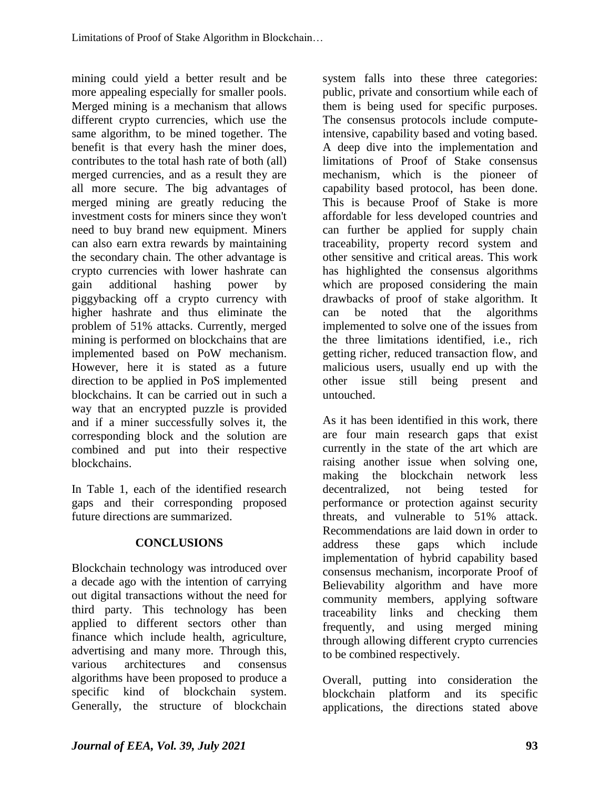mining could yield a better result and be more appealing especially for smaller pools. Merged mining is a mechanism that allows different crypto currencies, which use the same algorithm, to be mined together. The benefit is that every hash the miner does, contributes to the total hash rate of both (all) merged currencies, and as a result they are all more secure. The big advantages of merged mining are greatly reducing the investment costs for miners since they won't need to buy brand new equipment. Miners can also earn extra rewards by maintaining the secondary chain. The other advantage is crypto currencies with lower hashrate can gain additional hashing power by piggybacking off a crypto currency with higher hashrate and thus eliminate the problem of 51% attacks. Currently, merged mining is performed on blockchains that are implemented based on PoW mechanism. However, here it is stated as a future direction to be applied in PoS implemented blockchains. It can be carried out in such a way that an encrypted puzzle is provided and if a miner successfully solves it, the corresponding block and the solution are combined and put into their respective blockchains.

In Table 1, each of the identified research gaps and their corresponding proposed future directions are summarized.

# **CONCLUSIONS**

Blockchain technology was introduced over a decade ago with the intention of carrying out digital transactions without the need for third party. This technology has been applied to different sectors other than finance which include health, agriculture, advertising and many more. Through this, various architectures and consensus algorithms have been proposed to produce a specific kind of blockchain system. Generally, the structure of blockchain system falls into these three categories: public, private and consortium while each of them is being used for specific purposes. The consensus protocols include computeintensive, capability based and voting based. A deep dive into the implementation and limitations of Proof of Stake consensus mechanism, which is the pioneer of capability based protocol, has been done. This is because Proof of Stake is more affordable for less developed countries and can further be applied for supply chain traceability, property record system and other sensitive and critical areas. This work has highlighted the consensus algorithms which are proposed considering the main drawbacks of proof of stake algorithm. It can be noted that the algorithms implemented to solve one of the issues from the three limitations identified, i.e., rich getting richer, reduced transaction flow, and malicious users, usually end up with the other issue still being present and untouched.

As it has been identified in this work, there are four main research gaps that exist currently in the state of the art which are raising another issue when solving one, making the blockchain network less decentralized, not being tested for performance or protection against security threats, and vulnerable to 51% attack. Recommendations are laid down in order to address these gaps which include implementation of hybrid capability based consensus mechanism, incorporate Proof of Believability algorithm and have more community members, applying software traceability links and checking them frequently, and using merged mining through allowing different crypto currencies to be combined respectively.

Overall, putting into consideration the blockchain platform and its specific applications, the directions stated above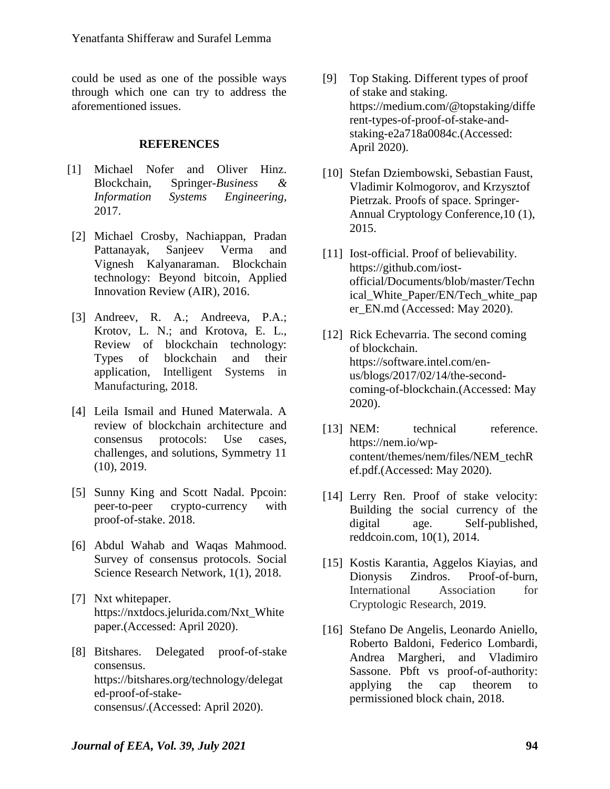could be used as one of the possible ways through which one can try to address the aforementioned issues.

#### **REFERENCES**

- [1] Michael Nofer and Oliver Hinz. Blockchain, Springer-*Business & Information Systems Engineering,*  2017.
- [2] Michael Crosby, Nachiappan, Pradan Pattanayak, Sanjeev Verma and Vignesh Kalyanaraman. Blockchain technology: Beyond bitcoin, Applied Innovation Review (AIR), 2016.
- [3] Andreev, R. A.; Andreeva, P.A.; Krotov, L. N.; and Krotova, E. L., Review of blockchain technology: Types of blockchain and their application, Intelligent Systems in Manufacturing, 2018.
- [4] Leila Ismail and Huned Materwala. A review of blockchain architecture and consensus protocols: Use cases, challenges, and solutions, Symmetry 11 (10), 2019.
- [5] Sunny King and Scott Nadal. Ppcoin: peer-to-peer crypto-currency with proof-of-stake. 2018.
- [6] Abdul Wahab and Waqas Mahmood. Survey of consensus protocols. Social Science Research Network, 1(1), 2018.
- [7] Nxt whitepaper. https://nxtdocs.jelurida.com/Nxt\_White pape[r.\(](https://nxtdocs.jelurida.com/Nxt_Whitepaper.(25)Accessed: April 2020).
- [8] Bitshares. Delegated proof-of-stake consensus. https://bitshares.org/technology/delegat ed-proof-of-stakeconsensus/.(Accessed: April 2020).
- [9] Top Staking. Different types of proof of stake and staking. https://medium.com/@topstaking/diffe rent-types-of-proof-of-stake-andstaking-e2a718a0084c.(Accessed: April 2020).
- [10] Stefan Dziembowski, Sebastian Faust, Vladimir Kolmogorov, and Krzysztof Pietrzak. Proofs of space. Springer-Annual Cryptology Conference,10 (1), 2015.
- [11] Iost-official. Proof of believability. https://github.com/iostofficial/Documents/blob/master/Techn ical\_White\_Paper/EN/Tech\_white\_pap er\_EN.md (Accessed: May 2020).
- [12] Rick Echevarria. The second coming of blockchain. https://software.intel.com/enus/blogs/2017/02/14/the-secondcoming-of-blockchain.(Accessed: May 2020).
- [13] NEM: technical reference. https://nem.io/wpcontent/themes/nem/files/NEM\_techR ef.pdf.(Accessed: May 2020).
- [14] Lerry Ren. Proof of stake velocity: Building the social currency of the digital age. Self-published, reddcoin.com, 10(1), 2014.
- [15] Kostis Karantia, Aggelos Kiayias, and Dionysis Zindros. Proof-of-burn, International Association for Cryptologic Research, 2019.
- [16] Stefano De Angelis, Leonardo Aniello, Roberto Baldoni, Federico Lombardi, Andrea Margheri, and Vladimiro Sassone. Pbft vs proof-of-authority: applying the cap theorem to permissioned block chain, 2018.